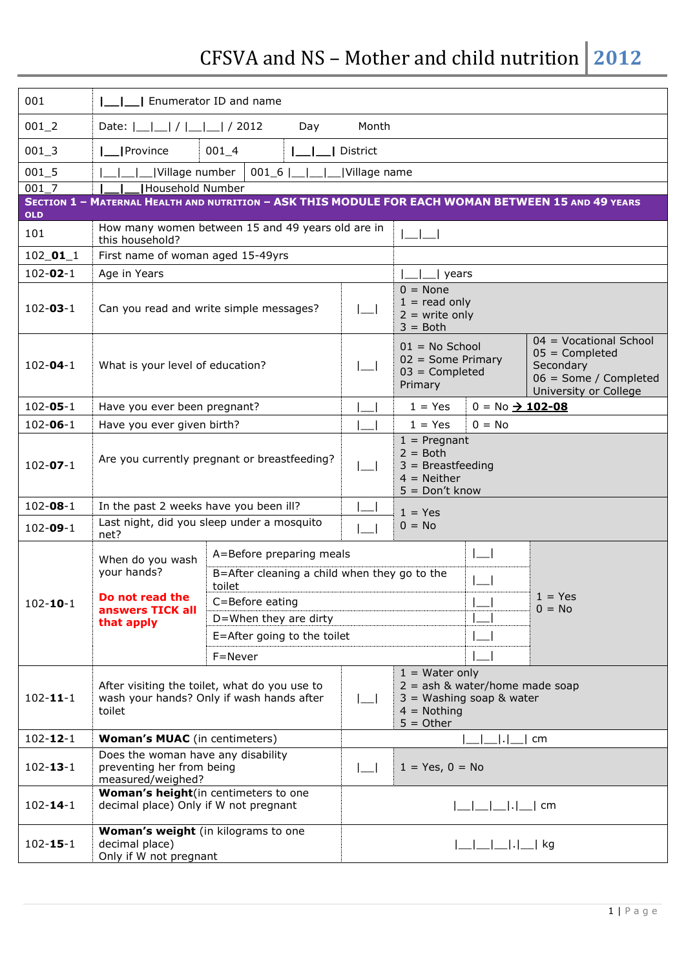## CFSVA and NS – Mother and child nutrition **2012**

| 001                                                                                                       | Enumerator ID and name                                                                               |                                                        |                                   |                                                                                                                     |                                                                                                           |  |  |  |
|-----------------------------------------------------------------------------------------------------------|------------------------------------------------------------------------------------------------------|--------------------------------------------------------|-----------------------------------|---------------------------------------------------------------------------------------------------------------------|-----------------------------------------------------------------------------------------------------------|--|--|--|
| $001 - 2$                                                                                                 | Date: $ \_ $   $ $   $ $   $ $   $ $   $ $ 2012<br>Month<br>Day                                      |                                                        |                                   |                                                                                                                     |                                                                                                           |  |  |  |
| $001 - 3$                                                                                                 | <b>I</b> Province<br>$001_4$<br>District                                                             |                                                        |                                   |                                                                                                                     |                                                                                                           |  |  |  |
| $001 - 5$                                                                                                 | Village number                                                                                       | $001_6$                                                | Village name                      |                                                                                                                     |                                                                                                           |  |  |  |
| 001 7                                                                                                     | Household Number                                                                                     |                                                        |                                   |                                                                                                                     |                                                                                                           |  |  |  |
| SECTION 1 - MATERNAL HEALTH AND NUTRITION - ASK THIS MODULE FOR EACH WOMAN BETWEEN 15 AND 49 YEARS<br>OLD |                                                                                                      |                                                        |                                   |                                                                                                                     |                                                                                                           |  |  |  |
| 101                                                                                                       | How many women between 15 and 49 years old are in<br>this household?                                 |                                                        |                                   |                                                                                                                     |                                                                                                           |  |  |  |
| $102\_01\_1$                                                                                              | First name of woman aged 15-49yrs                                                                    |                                                        |                                   |                                                                                                                     |                                                                                                           |  |  |  |
| $102 - 02 - 1$                                                                                            | Age in Years                                                                                         |                                                        |                                   | years                                                                                                               |                                                                                                           |  |  |  |
| $102 - 03 - 1$                                                                                            |                                                                                                      | Can you read and write simple messages?                | $\lfloor$                         | $0 = None$<br>$1 = read only$<br>$2 =$ write only<br>$3 = Both$                                                     |                                                                                                           |  |  |  |
| $102 - 04 - 1$                                                                                            | What is your level of education?                                                                     |                                                        | $\lfloor - \rfloor$               | $01 = No$ School<br>$02 = Some Primary$<br>$03 =$ Completed<br>Primary                                              | 04 = Vocational School<br>$05 =$ Completed<br>Secondary<br>06 = Some / Completed<br>University or College |  |  |  |
| $102 - 05 - 1$                                                                                            | Have you ever been pregnant?                                                                         |                                                        |                                   | $1 = Yes$                                                                                                           | $0 = No \rightarrow 102 - 08$                                                                             |  |  |  |
| $102 - 06 - 1$                                                                                            |                                                                                                      | Have you ever given birth?                             |                                   |                                                                                                                     |                                                                                                           |  |  |  |
| $102 - 07 - 1$                                                                                            | Are you currently pregnant or breastfeeding?                                                         |                                                        |                                   | $1$ = Pregnant<br>$2 = Both$<br>$3 =$ Breastfeeding<br>$4 =$ Neither<br>$5 = Don't know$                            |                                                                                                           |  |  |  |
| $102 - 08 - 1$                                                                                            | In the past 2 weeks have you been ill?                                                               |                                                        |                                   | $1 = Yes$                                                                                                           |                                                                                                           |  |  |  |
| $102 - 09 - 1$                                                                                            | net?                                                                                                 | Last night, did you sleep under a mosquito             |                                   | $0 = No$                                                                                                            |                                                                                                           |  |  |  |
|                                                                                                           | When do you wash<br>your hands?<br>Do not read the<br>answers TICK all<br>that apply                 | A=Before preparing meals                               |                                   |                                                                                                                     |                                                                                                           |  |  |  |
|                                                                                                           |                                                                                                      | B=After cleaning a child when they go to the<br>toilet |                                   |                                                                                                                     | $1 = Yes$<br>$0 = No$                                                                                     |  |  |  |
| $102 - 10 - 1$                                                                                            |                                                                                                      | C=Before eating                                        |                                   | $\mathbf{I}$ $\mathbf{I}$                                                                                           |                                                                                                           |  |  |  |
|                                                                                                           |                                                                                                      | D=When they are dirty                                  |                                   |                                                                                                                     |                                                                                                           |  |  |  |
|                                                                                                           |                                                                                                      | E=After going to the toilet                            |                                   |                                                                                                                     |                                                                                                           |  |  |  |
|                                                                                                           |                                                                                                      | F=Never                                                |                                   |                                                                                                                     |                                                                                                           |  |  |  |
| $102 - 11 - 1$                                                                                            | After visiting the toilet, what do you use to<br>wash your hands? Only if wash hands after<br>toilet |                                                        |                                   | $1 = Water only$<br>$2 =$ ash & water/home made soap<br>$3$ = Washing soap & water<br>$4 =$ Nothing<br>$5 = 0$ ther |                                                                                                           |  |  |  |
| $102 - 12 - 1$                                                                                            | <b>Woman's MUAC</b> (in centimeters)                                                                 |                                                        | cm<br>$\cdot$                     |                                                                                                                     |                                                                                                           |  |  |  |
| $102 - 13 - 1$                                                                                            | Does the woman have any disability<br>preventing her from being<br>measured/weighed?                 |                                                        | $1 = Yes, 0 = No$<br>$\lfloor$    |                                                                                                                     |                                                                                                           |  |  |  |
| $102 - 14 - 1$                                                                                            | Woman's height(in centimeters to one<br>decimal place) Only if W not pregnant                        |                                                        | $ $ <sub>__</sub>  __ __ . __  cm |                                                                                                                     |                                                                                                           |  |  |  |
| $102 - 15 - 1$                                                                                            | Woman's weight (in kilograms to one<br>decimal place)<br>Only if W not pregnant                      |                                                        |                                   |                                                                                                                     |                                                                                                           |  |  |  |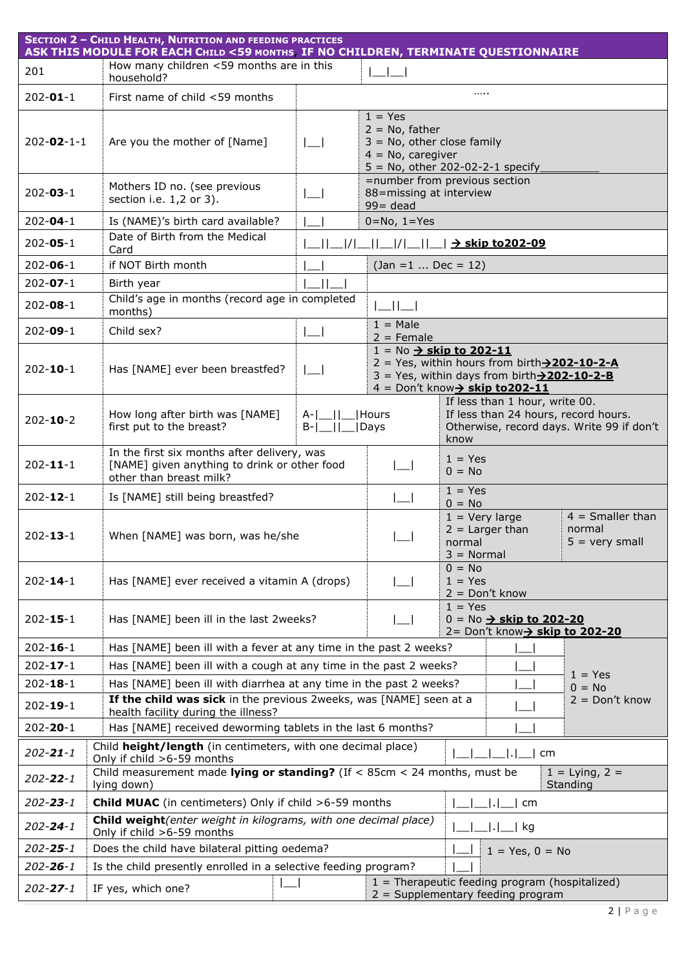|                    | <b>SECTION 2 - CHILD HEALTH, NUTRITION AND FEEDING PRACTICES</b><br>ASK THIS MODULE FOR EACH CHILD <59 MONTHS IF NO CHILDREN, TERMINATE QUESTIONNAIRE |                            |                                                                                                                                                                                                                  |                                                                                                                     |  |  |  |
|--------------------|-------------------------------------------------------------------------------------------------------------------------------------------------------|----------------------------|------------------------------------------------------------------------------------------------------------------------------------------------------------------------------------------------------------------|---------------------------------------------------------------------------------------------------------------------|--|--|--|
| 201                | How many children <59 months are in this<br>household?                                                                                                |                            |                                                                                                                                                                                                                  |                                                                                                                     |  |  |  |
| $202 - 01 - 1$     | First name of child <59 months                                                                                                                        |                            |                                                                                                                                                                                                                  | .                                                                                                                   |  |  |  |
| $202 - 02 - 1 - 1$ | Are you the mother of [Name]                                                                                                                          |                            | $1 = Yes$<br>$2 = No$ , father<br>$3 = No$ , other close family<br>$4 = No$ , caregiver                                                                                                                          | $5 = No$ , other 202-02-2-1 specify                                                                                 |  |  |  |
| $202 - 03 - 1$     | Mothers ID no. (see previous<br>section i.e. 1,2 or 3).                                                                                               |                            | =number from previous section<br>88=missing at interview<br>$99 = dead$                                                                                                                                          |                                                                                                                     |  |  |  |
| $202 - 04 - 1$     | Is (NAME)'s birth card available?                                                                                                                     |                            | $0 = No, 1 = Yes$                                                                                                                                                                                                |                                                                                                                     |  |  |  |
| $202 - 05 - 1$     | Date of Birth from the Medical<br>Card                                                                                                                |                            |                                                                                                                                                                                                                  |                                                                                                                     |  |  |  |
| $202 - 06 - 1$     | if NOT Birth month                                                                                                                                    |                            | $(Jan = 1  Dec = 12)$                                                                                                                                                                                            |                                                                                                                     |  |  |  |
| $202 - 07 - 1$     | Birth year                                                                                                                                            |                            |                                                                                                                                                                                                                  |                                                                                                                     |  |  |  |
| $202 - 08 - 1$     | Child's age in months (record age in completed<br>months)                                                                                             |                            | $\Box$                                                                                                                                                                                                           |                                                                                                                     |  |  |  |
| $202 - 09 - 1$     | Child sex?                                                                                                                                            |                            | $1 = Male$<br>$2 =$ Female                                                                                                                                                                                       |                                                                                                                     |  |  |  |
| $202 - 10 - 1$     | Has [NAME] ever been breastfed?                                                                                                                       | $\Box$                     | $1 = No \rightarrow skip to 202-11$<br>2 = Yes, within hours from birth $\rightarrow$ 202-10-2-A<br>$3 = Yes$ , within days from birth $\rightarrow$ 202-10-2-B<br>$4 =$ Don't know $\rightarrow$ skip to 202-11 |                                                                                                                     |  |  |  |
| $202 - 10 - 2$     | How long after birth was [NAME]<br>first put to the breast?                                                                                           | $A$ - $\Box$<br>$B-I$ $II$ | If less than 1 hour, write 00.<br>If less than 24 hours, record hours.<br>Hours<br>Otherwise, record days. Write 99 if don't<br> Days<br>know                                                                    |                                                                                                                     |  |  |  |
| $202 - 11 - 1$     | In the first six months after delivery, was<br>[NAME] given anything to drink or other food<br>other than breast milk?                                |                            |                                                                                                                                                                                                                  | $1 = Yes$<br>$0 = No$                                                                                               |  |  |  |
| $202 - 12 - 1$     | Is [NAME] still being breastfed?                                                                                                                      |                            |                                                                                                                                                                                                                  | $1 = Yes$<br>$0 = No$                                                                                               |  |  |  |
| $202 - 13 - 1$     | When [NAME] was born, was he/she                                                                                                                      |                            |                                                                                                                                                                                                                  | $4 =$ Smaller than<br>$1 =$ Very large<br>$2 =$ Larger than<br>normal<br>$5 =$ very small<br>normal<br>$3 = Normal$ |  |  |  |
| $202 - 14 - 1$     | Has [NAME] ever received a vitamin A (drops)                                                                                                          |                            |                                                                                                                                                                                                                  | $0 = No$<br>$1 = Yes$<br>$2 = Don't know$                                                                           |  |  |  |
| $202 - 15 - 1$     | Has [NAME] been ill in the last 2weeks?                                                                                                               |                            |                                                                                                                                                                                                                  | $1 = Yes$<br>$0 = No \rightarrow skip to 202-20$<br>2= Don't know <sub>2</sub> skip to 202-20                       |  |  |  |
| $202 - 16 - 1$     | Has [NAME] been ill with a fever at any time in the past 2 weeks?                                                                                     |                            |                                                                                                                                                                                                                  |                                                                                                                     |  |  |  |
| $202 - 17 - 1$     | Has [NAME] been ill with a cough at any time in the past 2 weeks?                                                                                     |                            |                                                                                                                                                                                                                  | $1 = Yes$                                                                                                           |  |  |  |
| $202 - 18 - 1$     | Has [NAME] been ill with diarrhea at any time in the past 2 weeks?<br>$0 = No$                                                                        |                            |                                                                                                                                                                                                                  |                                                                                                                     |  |  |  |
| $202 - 19 - 1$     | If the child was sick in the previous 2weeks, was [NAME] seen at a<br>$2 = Don't know$<br>health facility during the illness?                         |                            |                                                                                                                                                                                                                  |                                                                                                                     |  |  |  |
| $202 - 20 - 1$     | Has [NAME] received deworming tablets in the last 6 months?                                                                                           |                            |                                                                                                                                                                                                                  |                                                                                                                     |  |  |  |
| $202 - 21 - 1$     | Child height/length (in centimeters, with one decimal place)<br>  cm<br>Only if child >6-59 months                                                    |                            |                                                                                                                                                                                                                  |                                                                                                                     |  |  |  |
| $202 - 22 - 1$     | Child measurement made lying or standing? (If < $85cm < 24$ months, must be<br>$1 = Lying, 2 =$<br>lying down)<br>Standing                            |                            |                                                                                                                                                                                                                  |                                                                                                                     |  |  |  |
| $202 - 23 - 1$     | Child MUAC (in centimeters) Only if child >6-59 months<br>cm                                                                                          |                            |                                                                                                                                                                                                                  |                                                                                                                     |  |  |  |
| $202 - 24 - 1$     | Child weight(enter weight in kilograms, with one decimal place)<br>kg<br>Only if child >6-59 months                                                   |                            |                                                                                                                                                                                                                  |                                                                                                                     |  |  |  |
| $202 - 25 - 1$     | Does the child have bilateral pitting oedema?<br>$1 = Yes, 0 = No$                                                                                    |                            |                                                                                                                                                                                                                  |                                                                                                                     |  |  |  |
| $202 - 26 - 1$     | Is the child presently enrolled in a selective feeding program?                                                                                       |                            |                                                                                                                                                                                                                  |                                                                                                                     |  |  |  |
| $202 - 27 - 1$     | IF yes, which one?                                                                                                                                    |                            |                                                                                                                                                                                                                  | $1 =$ Therapeutic feeding program (hospitalized)<br>$2 =$ Supplementary feeding program                             |  |  |  |